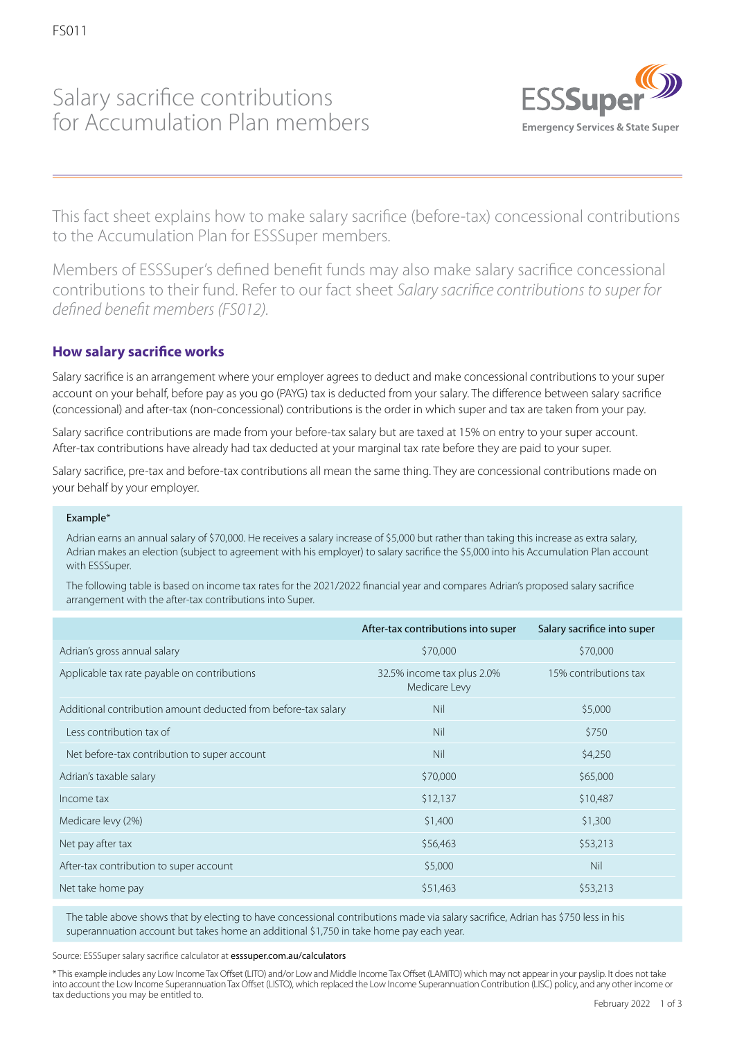## Salary sacrifice contributions for Accumulation Plan members



This fact sheet explains how to make salary sacrifice (before-tax) concessional contributions to the Accumulation Plan for ESSSuper members.

Members of ESSSuper's defined benefit funds may also make salary sacrifice concessional contributions to their fund. Refer to our fact sheet *Salary sacrifice contributions to super for defined benefit members (FS012).*

## **How salary sacrifice works**

Salary sacrifice is an arrangement where your employer agrees to deduct and make concessional contributions to your super account on your behalf, before pay as you go (PAYG) tax is deducted from your salary. The difference between salary sacrifice (concessional) and after-tax (non-concessional) contributions is the order in which super and tax are taken from your pay.

Salary sacrifice contributions are made from your before-tax salary but are taxed at 15% on entry to your super account. After-tax contributions have already had tax deducted at your marginal tax rate before they are paid to your super.

Salary sacrifice, pre-tax and before-tax contributions all mean the same thing. They are concessional contributions made on your behalf by your employer.

#### Example\*

Adrian earns an annual salary of \$70,000. He receives a salary increase of \$5,000 but rather than taking this increase as extra salary, Adrian makes an election (subject to agreement with his employer) to salary sacrifice the \$5,000 into his Accumulation Plan account with ESSSuper.

The following table is based on income tax rates for the 2021/2022 financial year and compares Adrian's proposed salary sacrifice arrangement with the after-tax contributions into Super.

|                                                                | After-tax contributions into super          | Salary sacrifice into super |
|----------------------------------------------------------------|---------------------------------------------|-----------------------------|
| Adrian's gross annual salary                                   | \$70,000                                    | \$70,000                    |
| Applicable tax rate payable on contributions                   | 32.5% income tax plus 2.0%<br>Medicare Levy | 15% contributions tax       |
| Additional contribution amount deducted from before-tax salary | Nil                                         | \$5,000                     |
| Less contribution tax of                                       | Nil                                         | \$750                       |
| Net before-tax contribution to super account                   | Nil                                         | \$4,250                     |
| Adrian's taxable salary                                        | \$70,000                                    | \$65,000                    |
| Income tax                                                     | \$12,137                                    | \$10,487                    |
| Medicare levy (2%)                                             | \$1,400                                     | \$1,300                     |
| Net pay after tax                                              | \$56,463                                    | \$53,213                    |
| After-tax contribution to super account                        | \$5,000                                     | Nil                         |
| Net take home pay                                              | \$51,463                                    | \$53,213                    |

The table above shows that by electing to have concessional contributions made via salary sacrifice, Adrian has \$750 less in his superannuation account but takes home an additional \$1,750 in take home pay each year.

Source: ESSSuper salary sacrifice calculator at esssuper.com.au/calculators

\* This example includes any Low Income Tax Offset (LITO) and/or Low and Middle Income Tax Offset (LAMITO) which may not appear in your payslip. It does not take into account the Low Income Superannuation Tax Offset (LISTO), which replaced the Low Income Superannuation Contribution (LISC) policy, and any other income or tax deductions you may be entitled to. The entitled to the state of the state of the state of the February 2022 1 of 3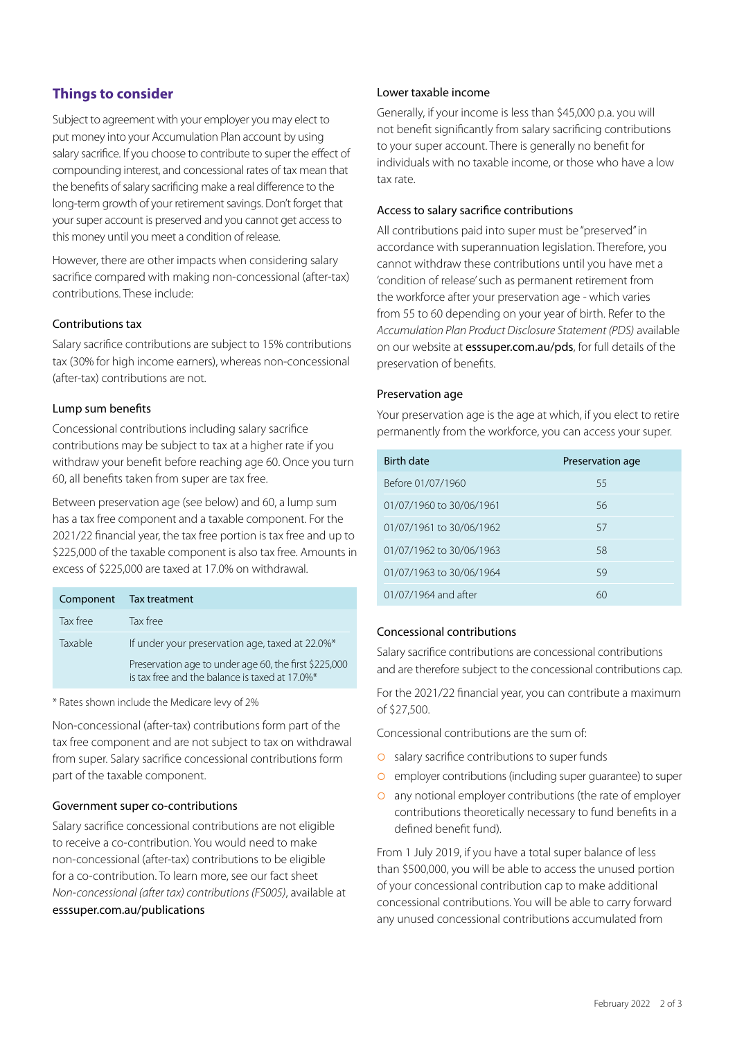## **Things to consider**

Subject to agreement with your employer you may elect to put money into your Accumulation Plan account by using salary sacrifice. If you choose to contribute to super the effect of compounding interest, and concessional rates of tax mean that the benefits of salary sacrificing make a real difference to the long-term growth of your retirement savings. Don't forget that your super account is preserved and you cannot get access to this money until you meet a condition of release.

However, there are other impacts when considering salary sacrifice compared with making non-concessional (after-tax) contributions. These include:

#### Contributions tax

Salary sacrifice contributions are subject to 15% contributions tax (30% for high income earners), whereas non-concessional (after-tax) contributions are not.

#### Lump sum benefits

Concessional contributions including salary sacrifice contributions may be subject to tax at a higher rate if you withdraw your benefit before reaching age 60. Once you turn 60, all benefits taken from super are tax free.

Between preservation age (see below) and 60, a lump sum has a tax free component and a taxable component. For the 2021/22 financial year, the tax free portion is tax free and up to \$225,000 of the taxable component is also tax free. Amounts in excess of \$225,000 are taxed at 17.0% on withdrawal.

| Component | Tax treatment                                                                                           |
|-----------|---------------------------------------------------------------------------------------------------------|
| Tax free  | Tax free                                                                                                |
| Taxable   | If under your preservation age, taxed at 22.0%*                                                         |
|           | Preservation age to under age 60, the first \$225,000<br>is tax free and the balance is taxed at 17.0%* |

\* Rates shown include the Medicare levy of 2%

Non-concessional (after-tax) contributions form part of the tax free component and are not subject to tax on withdrawal from super. Salary sacrifice concessional contributions form part of the taxable component.

#### Government super co-contributions

Salary sacrifice concessional contributions are not eligible to receive a co-contribution. You would need to make non-concessional (after-tax) contributions to be eligible for a co-contribution. To learn more, see our fact sheet *Non-concessional (after tax) contributions (FS005)*, available at esssuper.com.au/publications

#### Lower taxable income

Generally, if your income is less than \$45,000 p.a. you will not benefit significantly from salary sacrificing contributions to your super account. There is generally no benefit for individuals with no taxable income, or those who have a low tax rate.

#### Access to salary sacrifice contributions

All contributions paid into super must be "preserved" in accordance with superannuation legislation. Therefore, you cannot withdraw these contributions until you have met a 'condition of release' such as permanent retirement from the workforce after your preservation age - which varies from 55 to 60 depending on your year of birth. Refer to the *Accumulation Plan Product Disclosure Statement (PDS)* available on our website at esssuper.com.au/pds, for full details of the preservation of benefits.

#### Preservation age

Your preservation age is the age at which, if you elect to retire permanently from the workforce, you can access your super.

| Birth date               | Preservation age |  |
|--------------------------|------------------|--|
| Before 01/07/1960        | 55               |  |
| 01/07/1960 to 30/06/1961 | 56               |  |
| 01/07/1961 to 30/06/1962 | 57               |  |
| 01/07/1962 to 30/06/1963 | 58               |  |
| 01/07/1963 to 30/06/1964 | 59               |  |
| 01/07/1964 and after     | 60               |  |

#### Concessional contributions

Salary sacrifice contributions are concessional contributions and are therefore subject to the concessional contributions cap.

For the 2021/22 financial year, you can contribute a maximum of \$27,500.

Concessional contributions are the sum of:

- **O** salary sacrifice contributions to super funds
- **o** employer contributions (including super guarantee) to super
- $\circ$  any notional employer contributions (the rate of employer contributions theoretically necessary to fund benefits in a defined benefit fund).

From 1 July 2019, if you have a total super balance of less than \$500,000, you will be able to access the unused portion of your concessional contribution cap to make additional concessional contributions. You will be able to carry forward any unused concessional contributions accumulated from